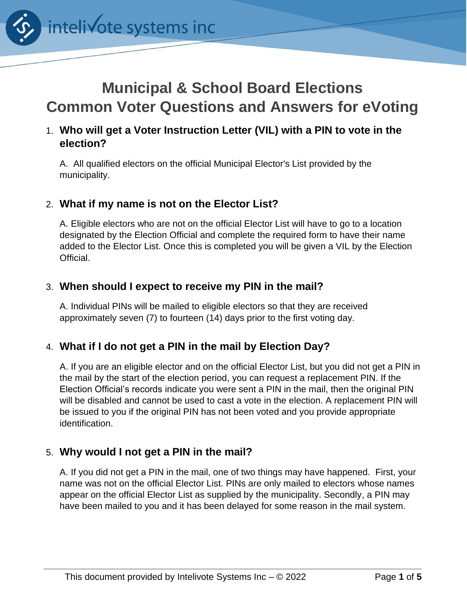

# **Municipal & School Board Elections Common Voter Questions and Answers for eVoting**

# 1. **Who will get a Voter Instruction Letter (VIL) with a PIN to vote in the election?**

A. All qualified electors on the official Municipal Elector's List provided by the municipality.

## 2. **What if my name is not on the Elector List?**

A. Eligible electors who are not on the official Elector List will have to go to a location designated by the Election Official and complete the required form to have their name added to the Elector List. Once this is completed you will be given a VIL by the Election Official.

#### 3. **When should I expect to receive my PIN in the mail?**

A. Individual PINs will be mailed to eligible electors so that they are received approximately seven (7) to fourteen (14) days prior to the first voting day.

#### 4. **What if I do not get a PIN in the mail by Election Day?**

A. If you are an eligible elector and on the official Elector List, but you did not get a PIN in the mail by the start of the election period, you can request a replacement PIN. If the Election Official's records indicate you were sent a PIN in the mail, then the original PIN will be disabled and cannot be used to cast a vote in the election. A replacement PIN will be issued to you if the original PIN has not been voted and you provide appropriate identification.

#### 5. **Why would I not get a PIN in the mail?**

A. If you did not get a PIN in the mail, one of two things may have happened. First, your name was not on the official Elector List. PINs are only mailed to electors whose names appear on the official Elector List as supplied by the municipality. Secondly, a PIN may have been mailed to you and it has been delayed for some reason in the mail system.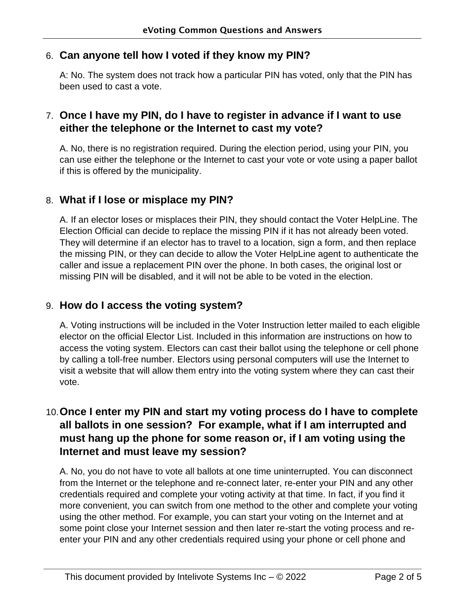#### 6. **Can anyone tell how I voted if they know my PIN?**

A: No. The system does not track how a particular PIN has voted, only that the PIN has been used to cast a vote.

## 7. **Once I have my PIN, do I have to register in advance if I want to use either the telephone or the Internet to cast my vote?**

A. No, there is no registration required. During the election period, using your PIN, you can use either the telephone or the Internet to cast your vote or vote using a paper ballot if this is offered by the municipality.

#### 8. **What if I lose or misplace my PIN?**

A. If an elector loses or misplaces their PIN, they should contact the Voter HelpLine. The Election Official can decide to replace the missing PIN if it has not already been voted. They will determine if an elector has to travel to a location, sign a form, and then replace the missing PIN, or they can decide to allow the Voter HelpLine agent to authenticate the caller and issue a replacement PIN over the phone. In both cases, the original lost or missing PIN will be disabled, and it will not be able to be voted in the election.

#### 9. **How do I access the voting system?**

A. Voting instructions will be included in the Voter Instruction letter mailed to each eligible elector on the official Elector List. Included in this information are instructions on how to access the voting system. Electors can cast their ballot using the telephone or cell phone by calling a toll-free number. Electors using personal computers will use the Internet to visit a website that will allow them entry into the voting system where they can cast their vote.

# 10.**Once I enter my PIN and start my voting process do I have to complete all ballots in one session? For example, what if I am interrupted and must hang up the phone for some reason or, if I am voting using the Internet and must leave my session?**

A. No, you do not have to vote all ballots at one time uninterrupted. You can disconnect from the Internet or the telephone and re-connect later, re-enter your PIN and any other credentials required and complete your voting activity at that time. In fact, if you find it more convenient, you can switch from one method to the other and complete your voting using the other method. For example, you can start your voting on the Internet and at some point close your Internet session and then later re-start the voting process and reenter your PIN and any other credentials required using your phone or cell phone and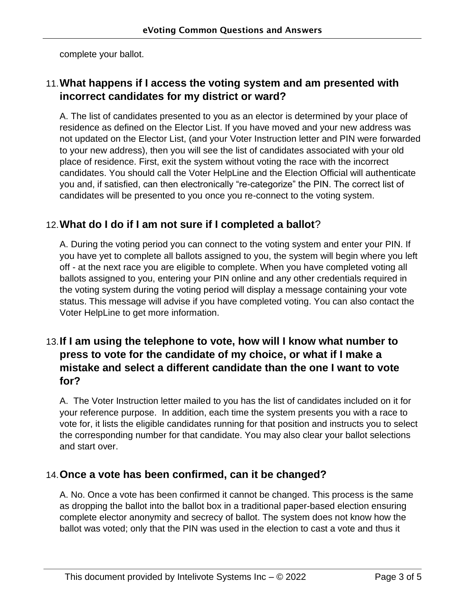complete your ballot.

# 11.**What happens if I access the voting system and am presented with incorrect candidates for my district or ward?**

A. The list of candidates presented to you as an elector is determined by your place of residence as defined on the Elector List. If you have moved and your new address was not updated on the Elector List, (and your Voter Instruction letter and PIN were forwarded to your new address), then you will see the list of candidates associated with your old place of residence. First, exit the system without voting the race with the incorrect candidates. You should call the Voter HelpLine and the Election Official will authenticate you and, if satisfied, can then electronically "re-categorize" the PIN. The correct list of candidates will be presented to you once you re-connect to the voting system.

## 12.**What do I do if I am not sure if I completed a ballot**?

A. During the voting period you can connect to the voting system and enter your PIN. If you have yet to complete all ballots assigned to you, the system will begin where you left off - at the next race you are eligible to complete. When you have completed voting all ballots assigned to you, entering your PIN online and any other credentials required in the voting system during the voting period will display a message containing your vote status. This message will advise if you have completed voting. You can also contact the Voter HelpLine to get more information.

# 13.**If I am using the telephone to vote, how will I know what number to press to vote for the candidate of my choice, or what if I make a mistake and select a different candidate than the one I want to vote for?**

A. The Voter Instruction letter mailed to you has the list of candidates included on it for your reference purpose. In addition, each time the system presents you with a race to vote for, it lists the eligible candidates running for that position and instructs you to select the corresponding number for that candidate. You may also clear your ballot selections and start over.

# 14.**Once a vote has been confirmed, can it be changed?**

A. No. Once a vote has been confirmed it cannot be changed. This process is the same as dropping the ballot into the ballot box in a traditional paper-based election ensuring complete elector anonymity and secrecy of ballot. The system does not know how the ballot was voted; only that the PIN was used in the election to cast a vote and thus it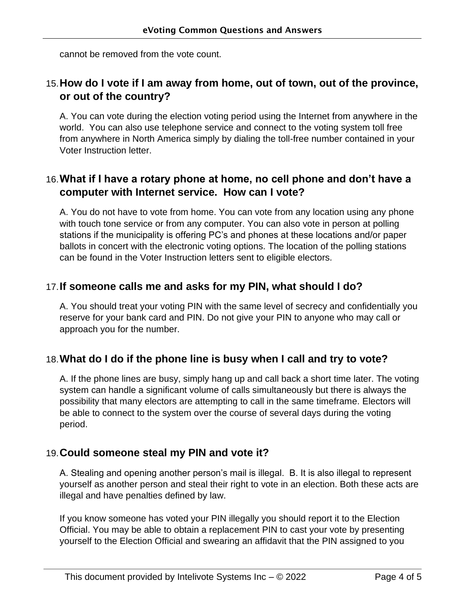cannot be removed from the vote count.

# 15.**How do I vote if I am away from home, out of town, out of the province, or out of the country?**

A. You can vote during the election voting period using the Internet from anywhere in the world. You can also use telephone service and connect to the voting system toll free from anywhere in North America simply by dialing the toll-free number contained in your Voter Instruction letter.

# 16.**What if I have a rotary phone at home, no cell phone and don't have a computer with Internet service. How can I vote?**

A. You do not have to vote from home. You can vote from any location using any phone with touch tone service or from any computer. You can also vote in person at polling stations if the municipality is offering PC's and phones at these locations and/or paper ballots in concert with the electronic voting options. The location of the polling stations can be found in the Voter Instruction letters sent to eligible electors.

## 17.**If someone calls me and asks for my PIN, what should I do?**

A. You should treat your voting PIN with the same level of secrecy and confidentially you reserve for your bank card and PIN. Do not give your PIN to anyone who may call or approach you for the number.

#### 18.**What do I do if the phone line is busy when I call and try to vote?**

A. If the phone lines are busy, simply hang up and call back a short time later. The voting system can handle a significant volume of calls simultaneously but there is always the possibility that many electors are attempting to call in the same timeframe. Electors will be able to connect to the system over the course of several days during the voting period.

#### 19.**Could someone steal my PIN and vote it?**

A. Stealing and opening another person's mail is illegal. B. It is also illegal to represent yourself as another person and steal their right to vote in an election. Both these acts are illegal and have penalties defined by law.

If you know someone has voted your PIN illegally you should report it to the Election Official. You may be able to obtain a replacement PIN to cast your vote by presenting yourself to the Election Official and swearing an affidavit that the PIN assigned to you